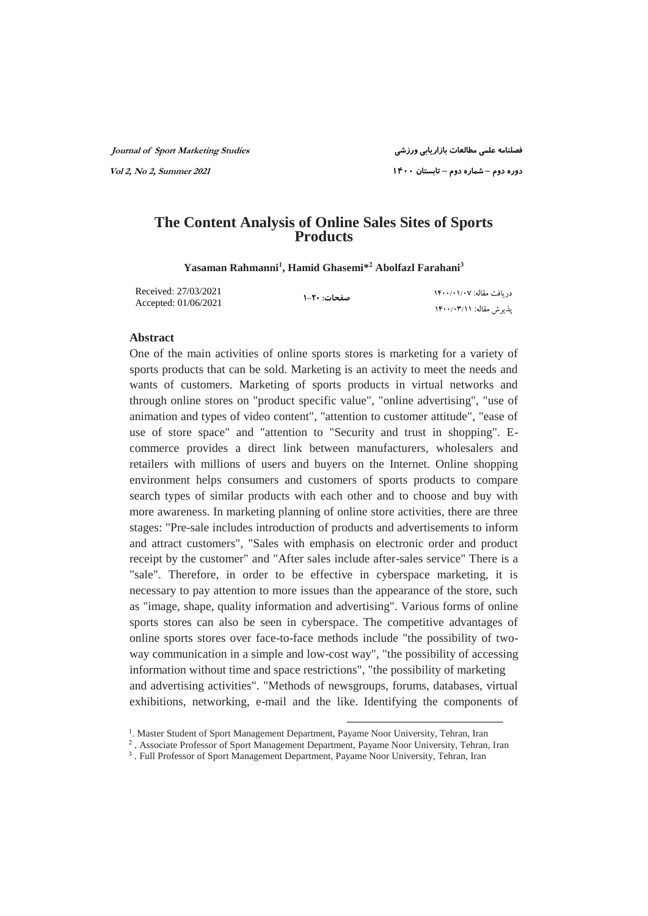**فصلنامه علمی مطالعات بازاریابی ورزشی Studies Marketing Sport of Journal** 

 **دوره دوم – شماره دوم – تابستان ۱۴۰۰ <sup>2021</sup> Summer 2, No 2, Vol** 

## **The Content Analysis of Online Sales Sites of Sports Products**

**Yasaman Rahmanni<sup>1</sup> , Hamid Ghasemi\*<sup>2</sup> Abolfazl Farahani<sup>3</sup>**

| Received: 27/03/2021 | صفحات: ۲۰-۱ | در بافت مقاله: ۱۴۰۰/۰۱/۰۷ |
|----------------------|-------------|---------------------------|
| Accepted: 01/06/2021 |             | يذيرش مقاله: ١۴٠٠/٠٣/١١   |

#### **Abstract**

One of the main activities of online sports stores is marketing for a variety of sports products that can be sold. Marketing is an activity to meet the needs and wants of customers. Marketing of sports products in virtual networks and through online stores on "product specific value", "online advertising", "use of animation and types of video content", "attention to customer attitude", "ease of use of store space" and "attention to "Security and trust in shopping". Ecommerce provides a direct link between manufacturers, wholesalers and retailers with millions of users and buyers on the Internet. Online shopping environment helps consumers and customers of sports products to compare search types of similar products with each other and to choose and buy with more awareness. In marketing planning of online store activities, there are three stages: "Pre-sale includes introduction of products and advertisements to inform and attract customers", "Sales with emphasis on electronic order and product receipt by the customer" and "After sales include after-sales service" There is a "sale". Therefore, in order to be effective in cyberspace marketing, it is necessary to pay attention to more issues than the appearance of the store, such as "image, shape, quality information and advertising". Various forms of online sports stores can also be seen in cyberspace. The competitive advantages of online sports stores over face-to-face methods include "the possibility of twoway communication in a simple and low-cost way", "the possibility of accessing information without time and space restrictions", "the possibility of marketing and advertising activities". "Methods of newsgroups, forums, databases, virtual exhibitions, networking, e-mail and the like. Identifying the components of

1

<sup>&</sup>lt;sup>1</sup>. Master Student of Sport Management Department, Payame Noor University, Tehran, Iran

<sup>2</sup> . Associate Professor of Sport Management Department, Payame Noor University, Tehran, Iran

<sup>&</sup>lt;sup>3</sup>. Full Professor of Sport Management Department, Payame Noor University, Tehran, Iran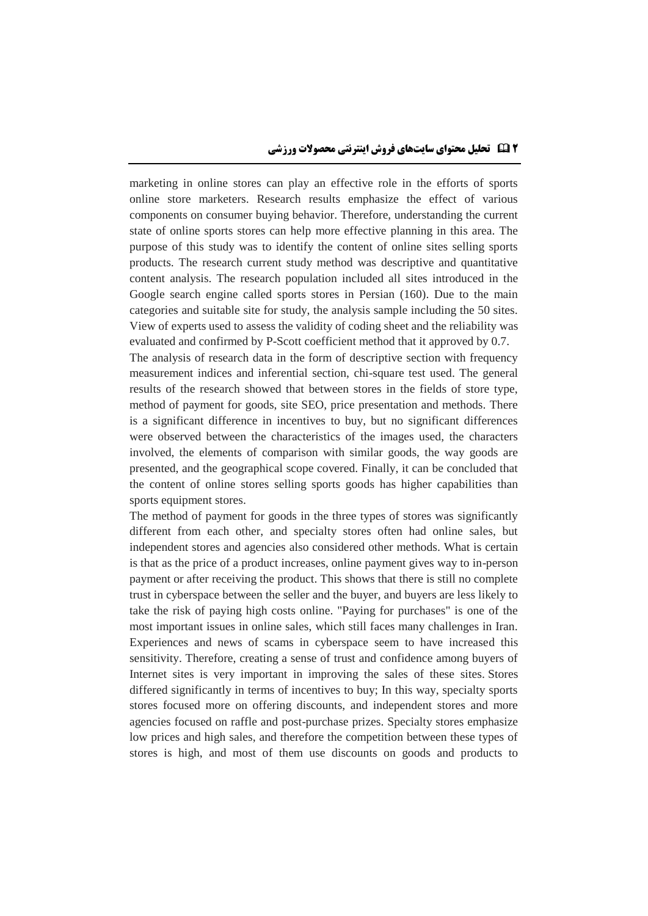marketing in online stores can play an effective role in the efforts of sports online store marketers. Research results emphasize the effect of various components on consumer buying behavior. Therefore, understanding the current state of online sports stores can help more effective planning in this area. The purpose of this study was to identify the content of online sites selling sports products. The research current study method was descriptive and quantitative content analysis. The research population included all sites introduced in the Google search engine called sports stores in Persian (160). Due to the main categories and suitable site for study, the analysis sample including the 50 sites. View of experts used to assess the validity of coding sheet and the reliability was evaluated and confirmed by P-Scott coefficient method that it approved by 0.7.

The analysis of research data in the form of descriptive section with frequency measurement indices and inferential section, chi-square test used. The general results of the research showed that between stores in the fields of store type, method of payment for goods, site SEO, price presentation and methods. There is a significant difference in incentives to buy, but no significant differences were observed between the characteristics of the images used, the characters involved, the elements of comparison with similar goods, the way goods are presented, and the geographical scope covered. Finally, it can be concluded that the content of online stores selling sports goods has higher capabilities than sports equipment stores.

The method of payment for goods in the three types of stores was significantly different from each other, and specialty stores often had online sales, but independent stores and agencies also considered other methods. What is certain is that as the price of a product increases, online payment gives way to in-person payment or after receiving the product. This shows that there is still no complete trust in cyberspace between the seller and the buyer, and buyers are less likely to take the risk of paying high costs online. "Paying for purchases" is one of the most important issues in online sales, which still faces many challenges in Iran. Experiences and news of scams in cyberspace seem to have increased this sensitivity. Therefore, creating a sense of trust and confidence among buyers of Internet sites is very important in improving the sales of these sites. Stores differed significantly in terms of incentives to buy; In this way, specialty sports stores focused more on offering discounts, and independent stores and more agencies focused on raffle and post-purchase prizes. Specialty stores emphasize low prices and high sales, and therefore the competition between these types of stores is high, and most of them use discounts on goods and products to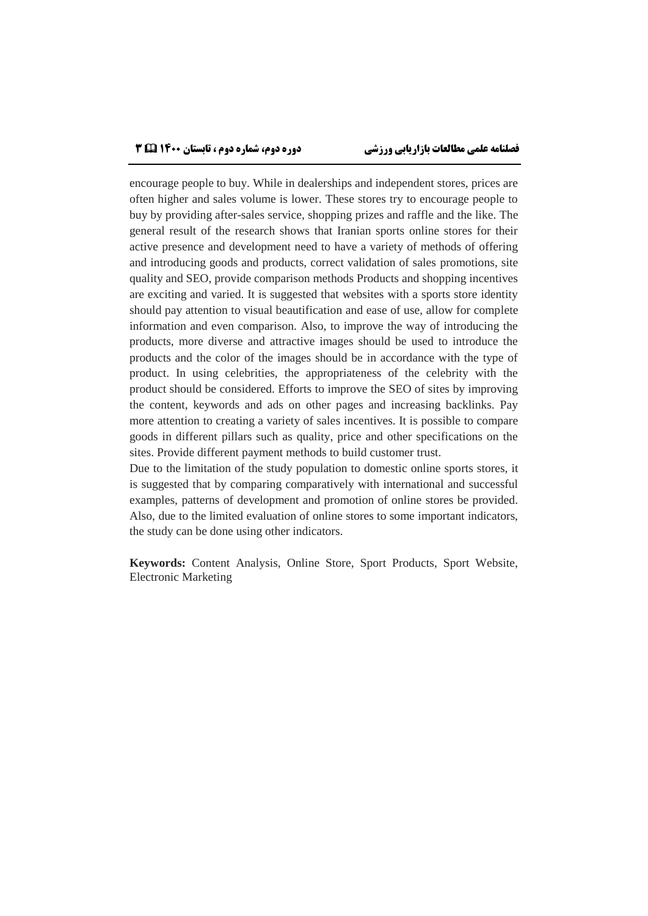encourage people to buy. While in dealerships and independent stores, prices are often higher and sales volume is lower. These stores try to encourage people to buy by providing after-sales service, shopping prizes and raffle and the like. The general result of the research shows that Iranian sports online stores for their active presence and development need to have a variety of methods of offering and introducing goods and products, correct validation of sales promotions, site quality and SEO, provide comparison methods Products and shopping incentives are exciting and varied. It is suggested that websites with a sports store identity should pay attention to visual beautification and ease of use, allow for complete information and even comparison. Also, to improve the way of introducing the products, more diverse and attractive images should be used to introduce the products and the color of the images should be in accordance with the type of product. In using celebrities, the appropriateness of the celebrity with the product should be considered. Efforts to improve the SEO of sites by improving the content, keywords and ads on other pages and increasing backlinks. Pay more attention to creating a variety of sales incentives. It is possible to compare goods in different pillars such as quality, price and other specifications on the sites. Provide different payment methods to build customer trust.

Due to the limitation of the study population to domestic online sports stores, it is suggested that by comparing comparatively with international and successful examples, patterns of development and promotion of online stores be provided. Also, due to the limited evaluation of online stores to some important indicators, the study can be done using other indicators.

**Keywords:** Content Analysis, Online Store, Sport Products, Sport Website, Electronic Marketing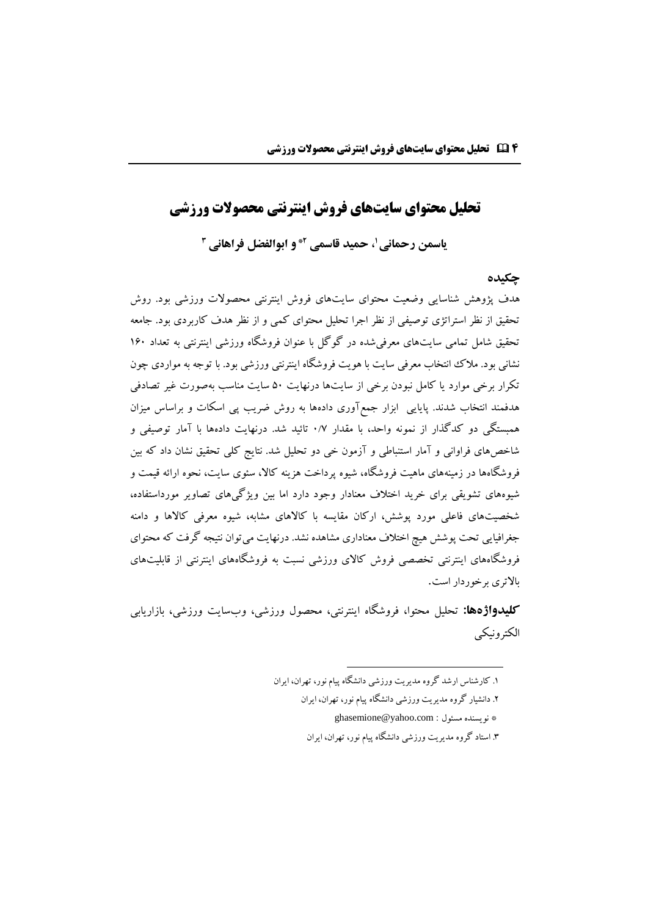# **تحلیل محتوای سایتهای فروش اینترنتی محصوالت ورزشی**

**، حمید قاسمی <sup>1</sup> یاسمن رحمانی و ابوالفضل فراهانی 2\* 3**

#### **چکیده**

هدف پژوهش شناسایی وضعیت محتوای سایتهای فروش اینترنتی محصوالت ورزشی بود. روش تحقیق از نظر استراتژی توصیفی از نظر اجرا تحلیل محتوای کمی و از نظر هدف کاربردی بود. جامعه تحقیق شامل تمامی سایتهای معرفیشده در گوگل با عنوان فروشگاه ورزشی اینترنتی به تعداد ۱6۰ نشانی بود. مالک انتخاب معرفی سایت با هویت فروشگاه اینترنتی ورزشی بود. با توجه به مواردی چون تکرار برخی موارد یا کامل نبودن برخی از سایتها درنهایت 5۰ سایت مناسب بهصورت غیر تصادفی هدفمند انتخاب شدند. پایایی ابزار جمعآوری دادهها به روش ضریب پی اسکات و براساس میزان همبستگی دو کدگذار از نمونه واحد، با مقدار ۰/۷ تائید شد. درنهایت دادهها با آمار توصیفی و شاخصهای فراوانی و آمار استنباطی و آزمون خی دو تحلیل شد. نتایج کلی تحقیق نشان داد که بین فروشگاهها در زمینههای ماهیت فروشگاه، شیوه پرداخت هزینه کاال، سئوی سایت، نحوه ارائه قیمت و شیوههای تشویقی برای خرید اختالف معنادار وجود دارد اما بین ویژگیهای تصاویر مورداستفاده، شخصیتهای فاعلی مورد پوشش، ارکان مقایسه با کاالهای مشابه، شیوه معرفی کاالها و دامنه جغرافیایی تحت پوشش هیچ اختالف معناداری مشاهده نشد. درنهایت میتوان نتیجه گرفت که محتوای فروشگاههای اینترنتی تخصصی فروش کاالی ورزشی نسبت به فروشگاههای اینترنتی از قابلیتهای باالتری برخوردار است.

**کلیدواژهها:** تحلیل محتوا، فروشگاه اینترنتی، محصول ورزشی، وبسایت ورزشی، بازاریابی الکترونیکی

**.** 

<sup>.</sup>۱ کارشناس ارشد گروه مدیریت ورزشی دانشگاه پیام نور، تهران، ایران

<sup>.</sup>۲ دانشیار گروه مدیریت ورزشی دانشگاه پیام نور، تهران، ایران

[ghasemione@yahoo.com](mailto:ghasemione@yahoo.com) : مسئول نویسنده\*

<sup>.</sup>۳ استاد گروه مدیریت ورزشی دانشگاه پیام نور، تهران، ایران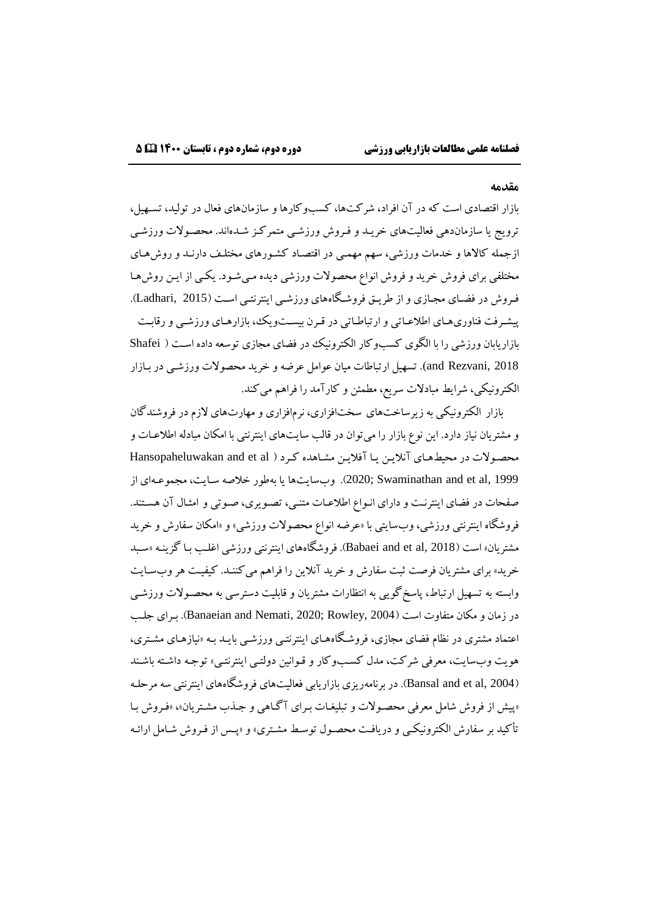#### **مقدمه**

بازار اقتصادی است که در آن افراد، شرکتها، کسبوکارها و سازمانهای فعال در تولید، تسههیل، ترویج یا سازماندهی فعالیتهای خریهد و فهروش ورزشهی متمرکهز شهدهاند. محصهوالت ورزشهی ازجمله کالاها و خدمات ورزشی، سهم مهمی در اقتصاد کشورهای مختلف دارنـد و روشهای مختلفی برای فروش خرید وفروش انواع محصوالت ورزشی دیده مهیشهود. یکهی از ایهن روشهها فهروش در فیهای مجهازی و از طریهق فروشهگاههای ورزشهی اینترنتهی اسهت 2015 ,Ladhari). پیشهرفت فناوریههای اطالعهاتی و ارتباطهاتی در قهرن بیسهتویک، بازارههای ورزشهی و رقابهت بازاریابان ورزشی را با الگوی کسبوکار الکترونیک در فیای مجازی توسعه داده اسهت Shafei 2018 ,Rezvani and). تسهیل ارتباطات میان عوامل عرضهو خرید محصوالت ورزشهی در بهازار الکترونیکی، شرایط مبادالت سریع، مطمئن و کارآمد را فراهم میکند.

بازار الکترونیکی به زیرساختهای سختافزاری، نرمافزاری و مهارتهای الزم در فروشندگان و مشتریان نیاز دارد. این نوع بازار را میتوان در قالب سایتهای اینترنتی با امکان مبادله اطالعهات و محصولات در محیطهای آنلاین یا آفلاین مشاهده کرد ( Hansopaheluwakan and et al 1999 ,al et and Swaminathan; 2020). وبسایتها یا بهطور خالصه سهایت، مجموعههای از صفحات در فیای اینترنهت و دارای انهواع اطالعهات متنهی، تصهویری، صهوتی و امثهال آن هسهتند. فروشگاه اینترنتی ورزشی، وبسایتی با »عرضه انواع محصوالت ورزشی« و »امکان سفارش و خرید مشتریان» است (Babaei and et al, 2018). فروشگاههای اینترنتی ورزشی اغلـب بـا گزینـه «سـبد خرید« برای مشتریان فرصت ثبت سفارش و خرید آنالین را فراهم میکننهد. کیفیهت هروبسهایت وابسته به تسهیل ارتباط، پاسخگویی به انتظارات مشتریان و قابلیت دسترسی به محصهوالت ورزشهی در زمان و مکان متفاوت است 2004 ,Rowley; 2020 ,Nemati and Banaeian). بهرای جلهب اعتماد مشتری در نظام فیای مجازی، فروشهگاهههای اینترنتهی ورزشهی بایهد بهه »نیازههای مشهتری، هویت وبسایت، معرفی شرکت، مدل کسبوکار و قـوانین دولتـی اینترنتـی» توجـه داشـته باشـند 2004 ,al et and Bansal). در برنامهریزی بازاریابی فعالیتهای فروشگاههای اینترنتی سه مرحلهه »پیش از فروش شامل معرفی محصهوالت و تبلیغهات بهرای آگهاهی و جهذب مشهتریان«، »فهروش بها تأکید بر سفارش الکترونیکمی و دریافت محصول توسط مشتری» و «پـس از فـروش شـامل ارائـه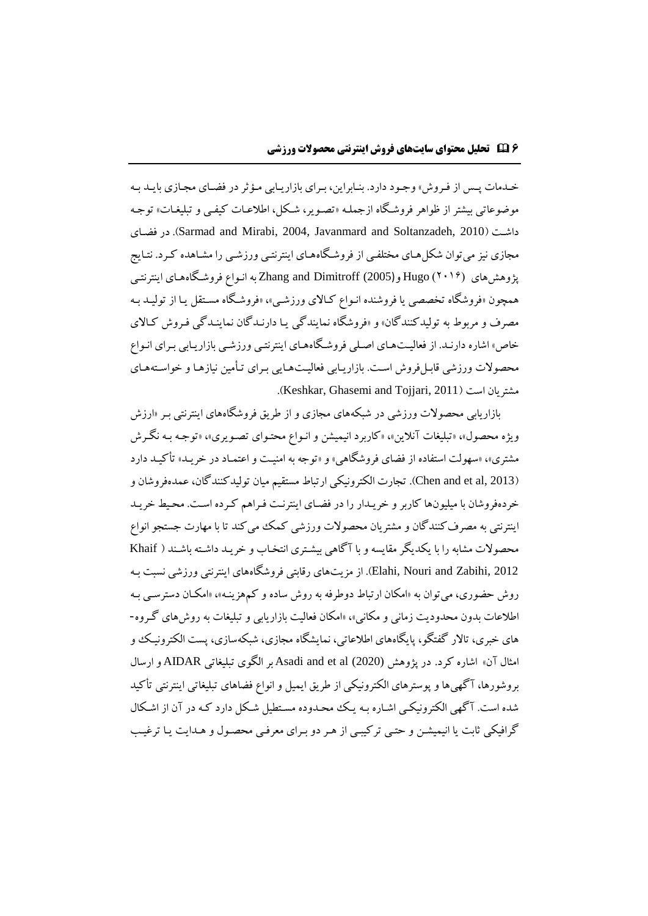خـدمات پـس از فـروش» وجـود دارد. بنـابراین، بـرای بازاریـابی مـؤثر در فضـای مجـازی بایـد بـه موضوعاتی بیشتر از ظواهر فروشگاه ازجملـه «تصـویر، شـکل، اطلاعـات کیفـی و تبلیغـات» توجـه فیهای در .(Sarmad and Mirabi, 2004, Javanmard and Soltanzadeh, 2010 داشهت مجازی نیز میتوان شکل های مختلفی از فروشگاههای اینترنتبی ورزشبی را مشـاهده کـرد. نتـایج پژوهش های (۲۰۱۶) Hugo و (2005) Zhang and Dimitroff به انبواع فروشگاههای اینترنتبی همچون «فروشگاه تخصصی یا فروشنده انبواع کـالای ورزشـی»، «فروشـگاه مسـتقل یـا از تولیـد بـه مصرف و مربوط به تولیدکنندگان« و »فروشگاه نمایندگی یها دارنهدگان نماینهدگی فهروش کهاالی خاص» اشاره دارنـد. از فعالیـتهـای اصـلی فروشـگاههـای اینترنتـی ورزشـی بازاریـابی بـرای انـواع محصولات ورزشی قابـلفروش اسـت. بازاریـابی فعالیـتـهـایی بـرای تـأمین نیازهـا و خواسـتههـای .)Keshkar, Ghasemi and Tojjari, 2011 است مشتریان

بازاریابی محصوالت ورزشی در شبکههای مجازی و از طریق فروشگاههای اینترنتی بهر »ارزش ویژه محصول»، «تبلیغات آنلاین»، «کاربرد انیمیشن و انـواع محتـوای تصـویری»، «توجـه بـه نگـرش مشتری»، «سهولت استفاده از فضای فروشگاهی» و «توجه به امنیـت و اعتمـاد در خریـد» تأکیـد دارد 2013 ,al et and Chen). تجارت الکترونیکی ارتباط مستقیم میان تولیدکنندگان، عمدهفروشان و خردهفروشان با میلیونها کاربر و خریهدار را در فیهای اینترنهت فهراهم کهرده اسهت. محهیط خریهد اینترنتی به مصرفکنندگان و مشتریان محصولات ورزشی کمک می کند تا با مهارت جستجو انواع محصولات مشابه را با یکدیگر مقایسه و با آگاهی بیشتری انتخـاب و خریـد داشـته باشـند ( Khaif 2012 ,Zabihi and Nouri ,Elahi). از مزیتهای رقابتی فروشگاههای اینترنتی ورزشی نسبت بهه روش حیوری، میتوان به »امکان ارتباط دوطرفه به روش ساده و کمهزینهه«، »امکهان دسترسهی بهه اطالعات بدون محدودیت زمانی و مکانی«، »امکان فعالیت بازاریابی و تبلیغات به روشهای گهروه- های خبری، تاالر گفتگو، پایگاههای اطالعاتی، نمایشگاه مجازی، شبکهسازی، پست الکترونیهک و امثال آن« اشاره کرد. در پژوهش (2020) al et and Asadi بر الگوی تبلیغاتی AIDAR و ارسال بروشورها، آگهیها و پوسترهای الکترونیکی از طریق ایمیل و انواع فیاهای تبلیغاتی اینترنتی تأکید شده است. آگهی الکترونیکی اشـاره بـه یـک محـدوده مسـتطیل شـکل دارد کـه در آن از اشـکال گرافیکی ثابت یا انیمیشهن و حتهی ترکیبهی از ههر دو بهرای معرفهی محصهول و ههدایت یها ترغیهب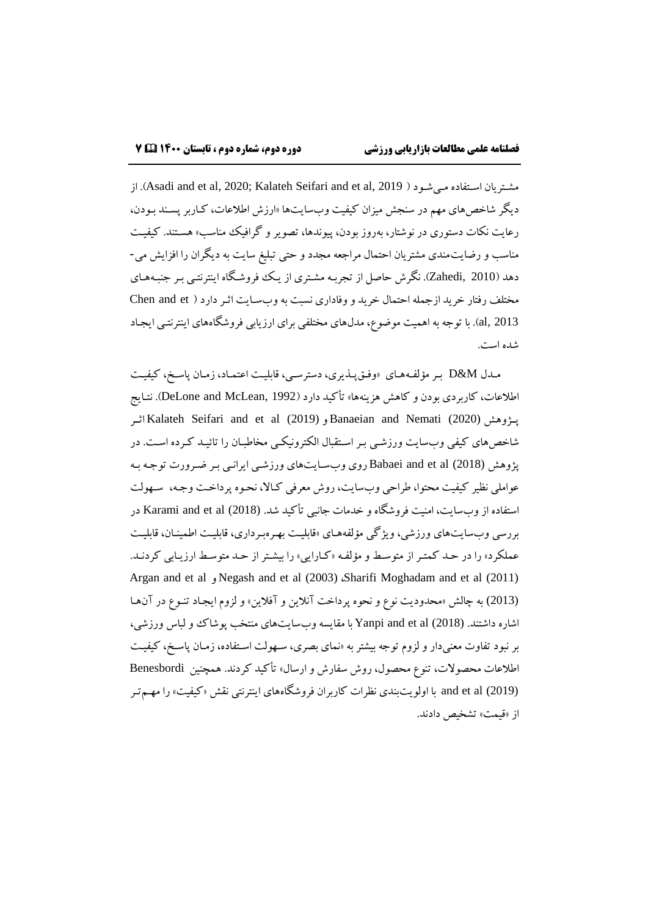از .(Asadi and et al, 2020; Kalateh Seifari and et al, 2019 مهیشهود اسهتفاده مشهتریان دیگر شاخصهای مهم در سنجش میزان کیفیت وبسایتها »ارزش اطالعات، کهاربر پسهند بهودن، رعایت نکات دستوری در نوشتار، بهروز بودن، پیوندها، تصویر و گرافیک مناسب« هسهتند. کیفیهت مناسب و رضایتمندی مشتریان احتمال مراجعه مجدد و حتی تبلیغ سایت به دیگران را افزایش می- دهد 2010 ,Zahedi). نگرش حاصل از تجربهه مشهتری از یهک فروشهگاه اینترنتهی بهر جنبههههای مختلف رفتار خرید ازجمله احتمال خرید و وفاداری نسبت به وبسـایت اثـر دارد ( Chen and et 2013 ,al). با توجه به اهمیت موضوع، مدلهای مختلفی برای ارزیابی فروشگاههای اینترنتهی ایجهاد شده است.

مهدل M&D بهر میلفههههای »وفهقپهذیری، دسترسهی، قابلیهت اعتمهاد، زمهان پاسهخ، کیفیهت اطلاعات، کاربردی بودن و کاهش هزینهها» تأکید دارد (DeLone and McLean, 1992). نتـایج اثههر Kalateh Seifari and et al (2019) و Banaeian and Nemati (2020) پههژوهش شاخصهای کیفی وبسایت ورزشهی بهر اسهتقبال الکترونیکهی مخاطبهان را تائیهد کهرده اسهت. در پژوهش (2018) Babaei and et al روی وبسایتهای ورزشبی ایرانبی بـر ضـرورت توجـه بـه عواملی نظیر کیفیت محتوا، طراحی وبسایت، روش معرفی کهاال، نحهوه پرداخهت وجهه، سههولت استفاده از وبسایت، امنیت فروشگاه و خدمات جانبی تأکید شد. (2018) Karami and et al در بررسی وبسایتهای ورزشی، ویژگی میلفهههای »قابلیهت بههرهبهرداری، قابلیهت اطمینهان، قابلیهت عملکرد» را در حد کمتر از متوسط و مؤلفه «کـارایی» را بیشـتر از حـد متوسـط ارزیـابی کردنـد. Argan and et al و Negash and et al (2003) ،Sharifi Moghadam and et al (2011) (2013) به چالش »محدودیت نوع و نحوه پرداخت آنالین و آفالین« و لزوم ایجهاد تنهوع در آنهها اشاره داشتند. (2018) al et and Yanpi با مقایسهوبسایتهای منتخب پوشاک و لباس ورزشی، بر نبود تفاوت معنیدار و لزوم توجه بیشتر به »نمای بصری، سههولت اسهتفاده، زمهان پاسهخ، کیفیهت اطالعات محصوالت، تنوع محصول، روش سفارش و ارسال« تأکید کردند. همچنین Benesbordi (2019) al et and با اولویتبندی نظرات کاربران فروشگاههای اینترنتی نقش »کیفیت« را مههمتهر از «قیمت» تشخیص دادند.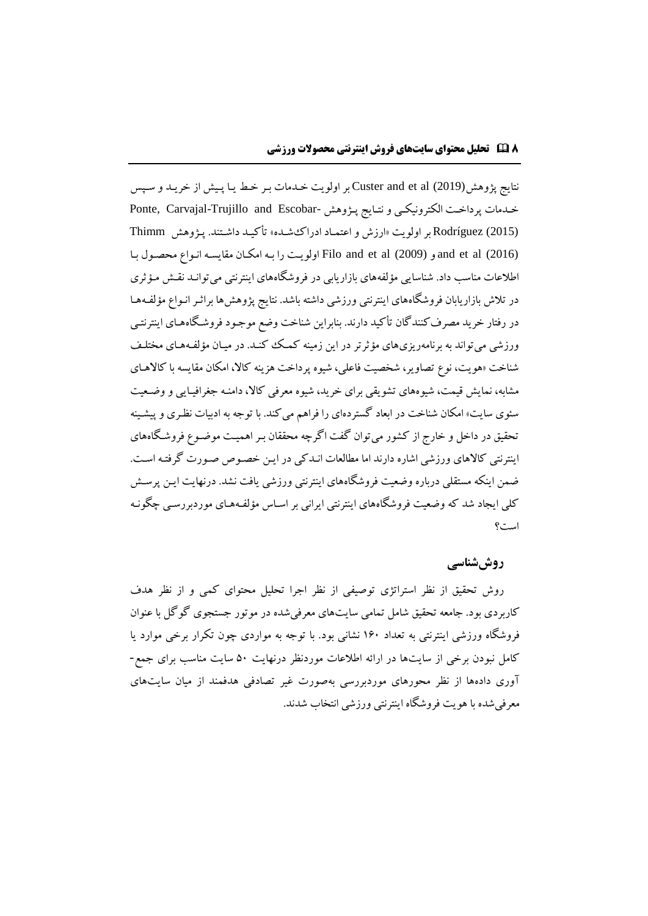نتایج پژوهش(2019) al et and Custer بر اولویت خهدمات بهر خهط یها پهیش از خریهد و سهس خهدمات پرداخت الکترونیکی و نتـایج پـژوهش -Ponte, Carvajal-Trujillo and Escobar (2015) Rodríguez بر اولویت »ارزش و اعتمهاد ادراکشهده« تأکیهد داشهتند. پهژوهش Thimm (2016) al et and و (2009) al et and Filo اولویهت را بهه امکهان مقایسهه انهواع محصهول بها اطالعات مناسب داد. شناسایی میلفههای بازاریابی در فروشگاههای اینترنتی میتوانهد نقهش مهیثری در تلاش بازاریابان فروشگاههای اینترنتی ورزشی داشته باشد. نتایج پژوهش ها براثـر انـواع مؤلفـههـا در رفتار خرید مصرفکنندگان تأکید دارند. بنابراین شناخت وضع موجهود فروشهگاهههای اینترنتهی ورزشی می تواند به برنامهریزیهای مؤثرتر در این زمینه کمک کنـد. در میـان مؤلفـههـای مختلـف شناخت »هویت، نوع تصاویر، شخصیت فاعلی، شیوه پرداخت هزینه کاال، امکان مقایسه با کاالههای مشابه، نمایش قیمت، شیوههای تشویقی برای خرید، شیوه معرفی کاال، دامنهه جغرافیهایی و وضهعیت سئوی سایت» امکان شناخت در ابعاد گستردهای را فراهم می کند. با توجه به ادبیات نظـری و پیشـینه تحقیق در داخل و خارج از کشور میتوان گفت اگرچه محققان بهر اهمیهت موضهوع فروشهگاههای اینترنتی کاالهای ورزشی اشاره دارند اما مطالعات انهدکی در ایهن خصهوص صهورت گرفتهه اسهت. ضمن اینکه مستقلی درباره وضعیت فروشگاههای اینترنتی ورزشی یافت نشد. درنهایت ایهن پرسهش کلی ایجاد شد که وضعیت فروشگاههای اینترنتی ایرانی بر اسهاس میلفههههای موردبررسهی چگونهه است؟

### **روششناسی**

روش تحقیق از نظر استراتژی توصیفی از نظر اجرا تحلیل محتوای کمی و از نظر هدف کاربردی بود. جامعه تحقیق شامل تمامی سایتهای معرفیشده در موتور جستجوی گوگل با عنوان فروشگاه ورزشی اینترنتی به تعداد ۱6۰ نشانی بود. با توجه به مواردی چون تکرار برخی موارد یا کامل نبودن برخی از سایتها در ارائه اطالعات موردنظر درنهایت 5۰ سایت مناسب برای جمع- آوری دادهها از نظر محورهای موردبررسی بهصورت غیر تصادفی هدفمند از میان سایتهای معرفی شده با هویت فروشگاه اینترنتی ورزشی انتخاب شدند.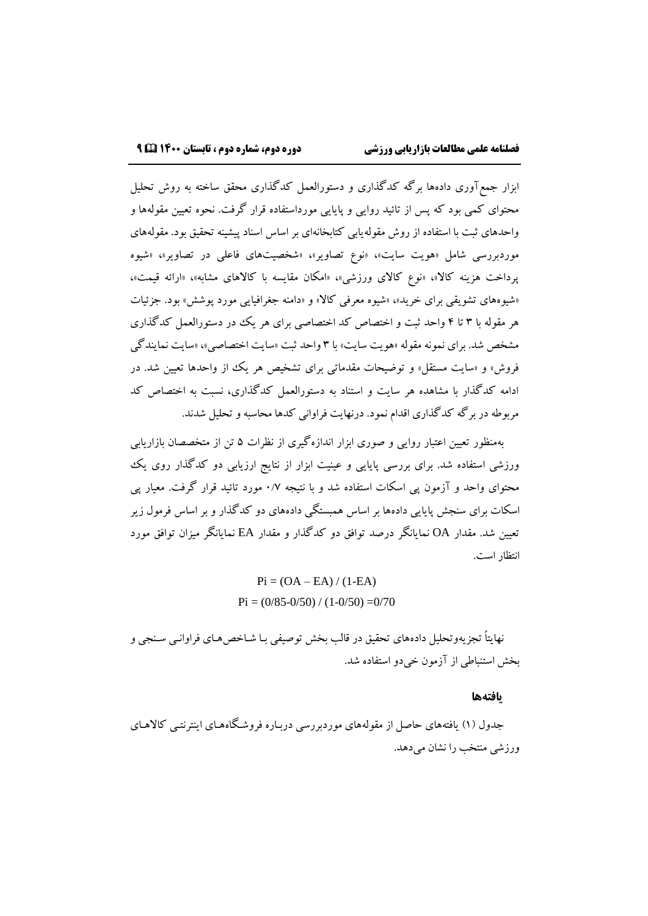ابزار جمعآوری دادهها برگه کدگذاری و دستورالعمل کدگذاری محقق ساخته به روش تحلیل محتوای کمی بود که پس از تائید روایی و پایایی مورداستفاده قرار گرفت. نحوه تعیین مقولهها و واحدهای ثبت با استفاده از روش مقولهیابی کتابخانهای بر اساس اسناد پیشینه تحقیق بود. مقولههای موردبررسی شامل »هویت سایت«، »نوع تصاویر«، »شخصیتهای فاعلی در تصاویر«، »شیوه پرداخت هزینه کالا»، «نوع کالای ورزشی»، «امکان مقایسه با کالاهای مشابه»، «ارائه قیمت»، «شیوههای تشویقی برای خرید»، «شیوه معرفی کالا» و «دامنه جغرافیایی مورد پوشش» بود. جزئیات هر مقوله با ۳ تا ۴ واحد ثبت و اختصاص کد اختصاصی برای هر یک در دستورالعمل کدگذاری مشخص شد. برای نمونه مقوله »هویت سایت« با ۳ واحد ثبت »سایت اختصاصی«، »سایت نمایندگی فروش» و «سایت مستقل» و توضیحات مقدماتی برای تشخیص هر یک از واحدها تعیین شد. در ادامه کدگذار با مشاهده هر سایت و استناد به دستورالعمل کدگذاری، نسبت به اختصاص کد مربوطه در برگه کدگذاری اقدام نمود. درنهایت فراوانی کدها محاسبه و تحلیل شدند.

بهمنظور تعیین اعتبار روایی و صوری ابزار اندازهگیری از نظرات 5 تن از متخصصان بازاریابی ورزشی استفاده شد. برای بررسی پایایی و عینیت ابزار از نتایج ارزیابی دو کدگذار روی یک محتوای واحد و آزمون پی اسکات استفاده شد و با نتیجه ۰/۷ مورد تائید قرار گرفت. معیار پی اسکات برای سنجش پایایی دادهها بر اساس همبستگی دادههای دو کدگذار و بر اساس فرمول زیر تعیین شد. مقدار OA نمایانگر درصد توافق دو کدگذار و مقدار EA نمایانگر میزان توافق مورد انتظار است.

> $Pi = (OA - EA) / (1 - EA)$  $Pi = (0/85 - 0/50) / (1 - 0/50) = 0/70$

نهایتاً تجزیهوتحلیل دادههای تحقیق در قالب بخش توصیفی بـا شـاخصههـای فراوانـبی سـنجی و بخش استنباطی از آزمون خیدو استفاده شد.

#### **یافتهها**

جدول (۱) یافتههای حاصل از مقولههای موردبررسی دربـاره فروشـگاههـای اینترنتـی کالاهـای ورزشی منتخب را نشان میدهد.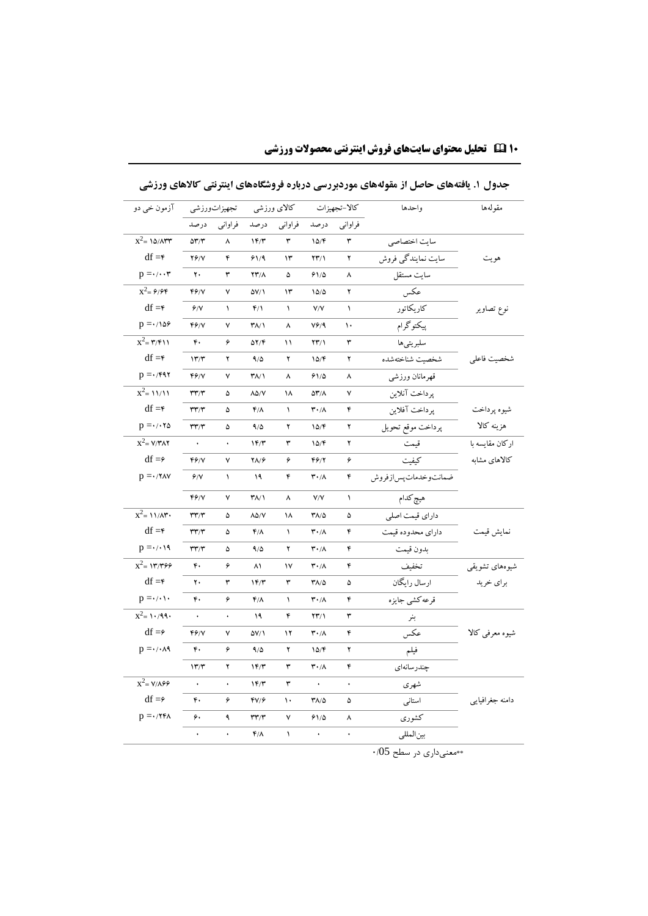| آزمون خي دو                     |                                    | تجهيزاتورزشي |                                    | كالاى ورزشى |                                 | كالا-تجهيزات | واحدها                | مقولهها         |
|---------------------------------|------------------------------------|--------------|------------------------------------|-------------|---------------------------------|--------------|-----------------------|-----------------|
|                                 | درصد                               | فراوانبي     | درصد                               | فراوانبي    | درصد                            | فراواني      |                       |                 |
| $x^2 = 10/ATT$                  | $\Delta \mathbf{r}/\mathbf{r}$     | ٨            | 1F/T                               | ٣           | 10/F                            | ٣            | سايت اختصاصي          |                 |
| $df = f$                        | $Y/\gamma$                         | ۴            | 91/9                               | ۱۳          | $YY/\lambda$                    | ۲            | سایت نمایندگی فروش    | هويت            |
| $p = \cdot / \cdot \cdot r$     | ٢.                                 | ٣            | 23/1                               | ۵           | ۶۱/۵                            | ٨            | سايت مستقل            |                 |
| $x^2 = \frac{9}{9}$             | FY/Y                               | ٧            | 57/1                               | ۱۳          | 10/0                            | ۲            | عكس                   |                 |
| $df = f$                        | 9/1                                | $\sqrt{2}$   | $F/\Lambda$                        | $\sqrt{2}$  | V/V                             | $\lambda$    | كاريكاتور             | نوع تصاوير      |
| $p = \cdot / \sqrt{25}$         | 46/Y                               | ٧            | $T\Lambda/1$                       | ٨           | V9/9                            | ١.           | ۔<br>پیکتوگرام        |                 |
| $x^2 = r/r \wedge$              | ۴.                                 | ۶            | ۵۲/۴                               | ۱۱          | $\Upsilon\Upsilon/\Upsilon$     | ٣            | سلبريتيها             |                 |
| $df = f$                        | 177                                | ۲            | 9/6                                | ۲           | 10/F                            | ۲            | شخصت شناختهشده        | شخصيت فاعلى     |
| $p = \cdot$ /۴۹۲                | FY/Y                               | ٧            | $\mathsf{r}_{\Lambda/\mathcal{N}}$ | ٨           | 91/0                            | ٨            | قهرمانان ورزشي        |                 |
| $\overline{x^2}$ = 11/11        | $\mathsf{r}\mathsf{r}'\mathsf{r}'$ | ۵            | $\lambda\Delta/V$                  | ۱۸          | 53/1                            | ٧            | پرداخت آنلاين         |                 |
| $df = f$                        | $\mathbf{r}\mathbf{r}/\mathbf{r}$  | ۵            | $f/\lambda$                        | ١           | $\mathbf{r} \cdot / \mathbf{A}$ | ۴            | پرداخت آفلاين         | شيوه پرداخت     |
| $p = \cdot / \cdot \tau \Delta$ | $\mathbf{r}\mathbf{r}/\mathbf{r}$  | ۵            | 9/0                                | ۲           | 10/F                            | ۲            | پرداخت موقع تحويل     | هزينه كالا      |
| $x^2 = V/TAY$                   |                                    | ۰            | 17/T                               | ٣           | 10/F                            | ۲            | قبمت                  | اركان مقايسه با |
| $df = \epsilon$                 | f                                  | ٧            | 21/6                               | ۶           | 46/1                            | ۶            | كيفيت                 | كالاهاى مشابه   |
| $p = \cdot$ /۲۸۷                | 9/1                                | $\sqrt{2}$   | ۱۹                                 | ۴           | $\mathbf{r} \cdot / \mathbf{A}$ | ۴            | ضمانتوخدمات يس ازفروش |                 |
|                                 | FG/V                               | ٧            | ۳۸/۱                               | ٨           | V/V                             | $\lambda$    | هيچ كدام              |                 |
| $x^2 = 11/\lambda$ ۳.           | $\mathsf{r}\mathsf{r}'\mathsf{r}'$ | ۵            | $\lambda\Delta/V$                  | ۱۸          | ۳۸/۵                            | ۵            | داراي قيمت اصلى       |                 |
| $df = f$                        | $\mathbf{r}\mathbf{r}/\mathbf{r}$  | ۵            | ۴۸                                 | $\lambda$   | $\mathbf{r} \cdot / \Lambda$    | ۴            | داراي محدوده قيمت     | نمايش قيمت      |
| $p = \cdot / \cdot 19$          | $\mathsf{r}\mathsf{r}'\mathsf{r}'$ | ۵            | 9/6                                | ۲           | $\mathbf{r} \cdot / \mathbf{A}$ | ۴            | بدون قيمت             |                 |
| $x^2 = 17.799$                  | ۴.                                 | ۶            | ۸۱                                 | ١٧          | $\mathbf{r} \cdot / \mathbf{A}$ | ۴            | تخفيف                 | شیوههای تشویقی  |
| $df = f$                        | ٢.                                 | ٣            | 1F/T                               | ٣           | $Y/\Delta$                      | ۵            | ارسال رايگان          | براي خريد       |
| $p = \cdot / \cdot \cdot$       | ۴.                                 | ۶            | $f/\lambda$                        | $\lambda$   | $\mathbf{r} \cdot / \mathbf{A}$ | ۴            | قرعه كشى جايزه        |                 |
| $\overline{x^2}$ = 1./99.       | $\bullet$                          | ٠            | ۱۹                                 | ۴           | $\Upsilon\Upsilon/\Upsilon$     | ٣            | بنر                   |                 |
| $df = \hat{z}$                  | FY/Y                               | ٧            | $\Delta V/\Lambda$                 | ۱۲          | $\mathbf{r} \cdot / \mathbf{A}$ | ۴            | عكس                   | شیوه معرفی کالا |
| $p = \cdot / \cdot \wedge q$    | ۴٠                                 | ۶            | 9/0                                | ۲           | 10/F                            | ۲            | فيلم                  |                 |
|                                 | 17''                               | ۲            | 15/7                               | ٣           | ۳۰/۸                            | ۴            | چندرسانەاي            |                 |
| $x^2 = V/\lambda$               | $\bullet$                          | ٠            | 1F/T                               | ٣           | $\hat{\textbf{r}}$              | ł.           | شهري                  |                 |
| $df = \hat{z}$                  | ۴٠                                 | ۶            | $fV/\hat{r}$                       | ١.          | $Y/\Delta$                      | ۵            | استانى                | دامنه جغرافيايي |
| $p = \cdot$ /۲۴۸                | ۶.                                 | ٩            | $\mathsf{r}\mathsf{r}'\mathsf{r}'$ | ٧           | 91/0                            | ٨            | كشورى                 |                 |
|                                 | $\ddot{\phantom{0}}$               | ۰            | $f/\lambda$                        | ١           | $\bullet$                       | ٠            | بين المللي            |                 |
|                                 |                                    |              |                                    |             |                                 |              |                       |                 |

**جدول .1 یافتههای حاصل از مقولههای موردبررسی درباره فروشگاههای اینترنتی کاالهای ورزشی**

**۱۰ تحلیل محتوای سایتهای فروش اینترنتی محصوالت ورزشی**

\*\*معنیداری در سطح 0/05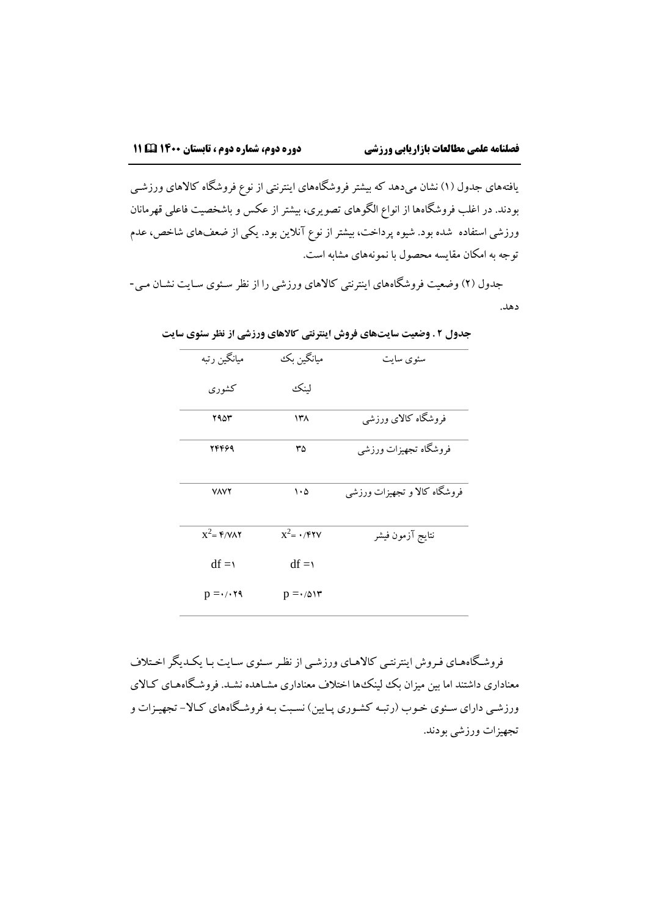یافتههای جدول ۱( نشان میدهد که بیشتر فروشگاههای اینترنتی از نوع فروشگاه کاالهای ورزشهی بودند. در اغلب فروشگاهها از انواع الگوهای تصویری، بیشتر از عکس و باشخصیت فاعلی قهرمانان ورزشی استفاده ًشده بود. شیوه پرداخت، بیشتر از نوع آنلاین بود. یکی از ضعفهای شاخص، عدم توجه به امکان مقایسه محصول با نمونههای مشابه است.

جدول (۲) وضعیت فروشگاههای اینترنتی کالاهای ورزشی را از نظر سـئوی سـایت نشـان مـی-دهد.

| ميانگين رتبه                       | ميانگين بک                  | سئوي سايت                    |
|------------------------------------|-----------------------------|------------------------------|
| كشورى                              | لينكئ                       |                              |
| ۲۹۵۳                               | ۱۳۸                         | فروشگاه کالای ورزشی          |
| 24469                              | ٣۵                          | فروشگاه تجهیزات ورزشي        |
| <b>VAVY</b>                        | $\cdot \circ$               | فروشگاه کالا و تجهیزات ورزشی |
| $x^2 = \frac{6}{3}$                | $x^2 = \cdot$ /۴۲۷          | نتايج آزمون فيشر             |
| $df = 1$                           | $df = 1$                    |                              |
| $p = \cdot$ / $\cdot$ $\uparrow$ ٩ | $p = \cdot/\Delta \Upsilon$ |                              |

**جدول 2 . وضعیت سایتهای فروش اینترنتی کاالهای ورزشی از نظر سئوی سایت**

فروشگاههای فـروش اینترنتـی کالاهـای ورزشـی از نظـر سـئوی سـایت بـا یکـدیگر اخـتلاف معناداری داشتند اما بین میزان بک لینک ها اختلاف معناداری مشـاهده نشـد. فروشـگاههـای کـالای ورزشبی دارای سـئوی خـوب (رتبـه کشـوری پـایین) نسـبت بـه فروشـگاههای کـالا– تجهیـزات و تجهیزات ورزشی بودند.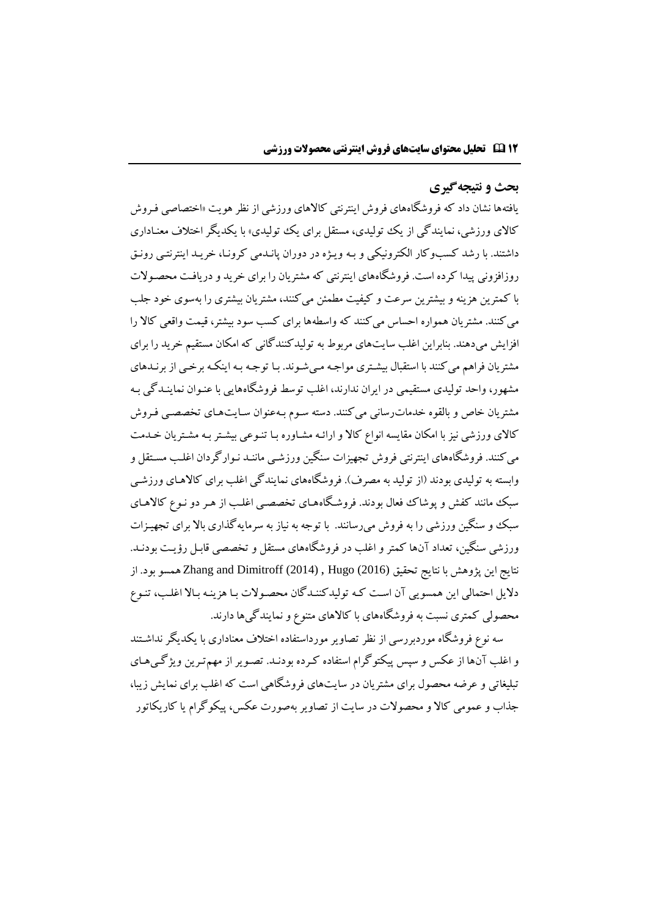## **بحث و نتیجهگیری**

یافتهها نشان داد که فروشگاههای فروش اینترنتی کاالهای ورزشی از نظرهویت »اختصاصی فهروش کالای ورزشی، نمایندگی از یک تولیدی، مستقل برای یک تولیدی» با یکدیگر اختلاف معنـاداری داشتند. با رشد کسبوکار الکترونیکی و بـه ویـژه در دوران پانـدمی کرونـا، خریـد اینترنتـی رونـق روزافزونی پیدا کرده است. فروشگاههای اینترنتی که مشتریان را برای خرید و دریافهت محصهوالت با کمترین هزینه و بیشترین سرعت و کیفیت مطمئن میکنند، مشتریان بیشتری را بهسوی خود جلب میکنند. مشتریان همواره احساس میکنند که واسطهها برای کسب سود بیشتر، قیمت واقعی کاال را افزایش میدهند. بنابراین اغلب سایتهای مربوط به تولیدکنندگانی که امکان مستقیم خرید را برای مشتریان فراهم میکنند با استقبال بیشهتری مواجهه مهیشهوند. بها توجهه بهه اینکهه برخهی از برنهدهای مشهور، واحد تولیدی مستقیمی در ایران ندارند، اغلب توسط فروشگاههایی با عنهوان نماینهدگی بهه مشتریان خاص و بالقوه خدمات رسانی می کنند. دسته سـوم بـهعنوان سـایتهـای تخصصـی فـروش کالای ورزشی نیز با امکان مقایسه انواع کالا و ارائـه مشـاوره بـا تنـوعی بیشـتر بـه مشـتریان خـدمت میکنند. فروشگاههای اینترنتی فروش تجهیزات سنگین ورزشهی ماننهد نهوارگردان اغلهب مسهتقل و وابسته به تولیدی بودند (از تولید به مصرف). فروشگاههای نمایندگی اغلب برای کالاهـای ورزشـی سبک مانند کفش و پوشاک فعال بودند. فروشگاههای تخصصی اغلب از هـر دو نـوع کالاهـای سبک و سنگین ورزشی را به فروش می رسانند. با توجه به نیاز به سرمایهگذاری بالا برای تجهیـزات ورزشی سنگین، تعداد آنها کمتر و اغلب در فروشگاههای مستقل و تخصصی قابهل رؤیهت بودنهد. نتایج این پژوهش با نتایج تحقیق (2016) Hugo ,) 2014 (Dimitroff and Zhang همسو بود. از دلایل احتمالی این همسویی آن است که تولیدکننـدگان محصـولات بـا هزینـه بـالا اغلـب، تنـوع محصولی کمتری نسبت به فروشگاههای با کاالهای متنوع و نمایندگیها دارند.

سه نوع فروشگاه موردبررسی از نظر تصاویر مورداستفاده اختالف معناداری با یکدیگر نداشهتند و اغلب آنها از عکس و سپس پیکتوگرام استفاده کـرده بودنـد. تصـویر از مهمتـرین ویژگـیهـای تبلیغاتی و عرضه محصول برای مشتریان در سایتهای فروشگاهی است که اغلب برای نمایش زیبا، جذاب و عمومی کالا و محصولات در سایت از تصاویر بهصورت عکس، پیکوگرام یا کاریکاتور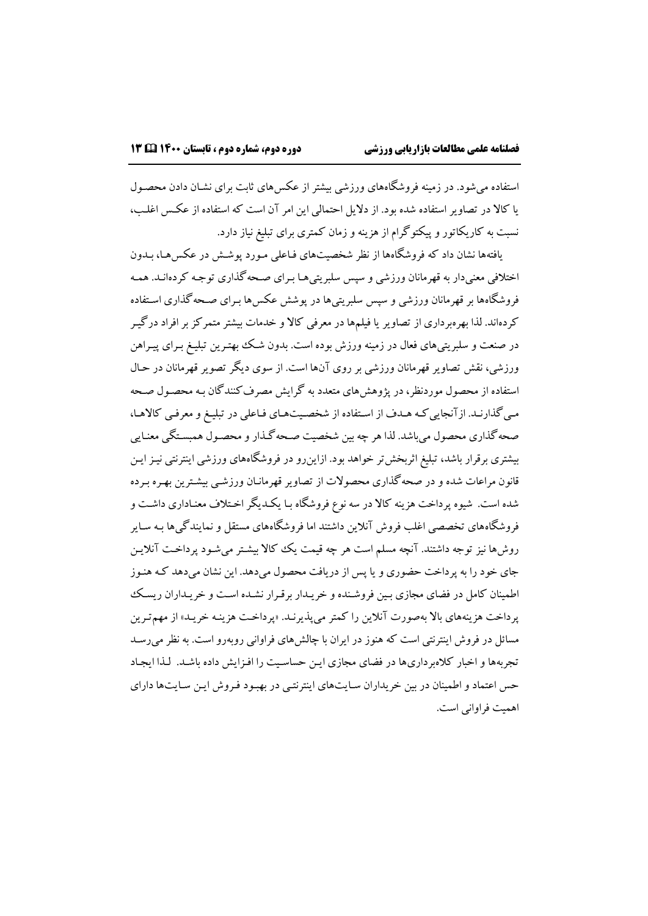استفاده می شود. در زمینه فروشگاههای ورزشی بیشتر از عکس های ثابت برای نشـان دادن محصـول یا کاال در تصاویر استفاده شده بود. از دالیل احتمالی این امر آن است که استفاده از عکه اغلهب، نسبت به کاریکاتور و پیکتوگرام از هزینه و زمان کمتری برای تبلیغ نیاز دارد.

یافتهها نشان داد که فروشگاهها از نظر شخصیتهای فـاعلی مـورد پوشـش در عکسهـا، بـدون اختالفی معنیدار به قهرمانان ورزشی و سس سلبریتیهها بهرای صهحهگذاری توجهه کردهانهد. همهه فروشگاهها بر قهرمانان ورزشی و سپس سلبریتیها در پوشش عکسها بـرای صـحه گذاری اسـتفاده کردهاند. لذا بهرهبرداری از تصاویر یا فیلمها در معرفی کاال و خدمات بیشترمتمرکزبرافراد درگیهر در صنعت و سلبریتیهای فعال در زمینه ورزش بوده است. بدون شهک بهتهرین تبلیهغ بهرای پیهراهن ورزشی، نقش تصاویر قهرمانان ورزشی بر روی آنها است. از سوی دیگر تصویر قهرمانان در حهال استفاده از محصول موردنظر، در پژوهشهای متعدد به گرایش مصرفکنندگان بهه محصهول صهحه مهیگذارنهد. ازآنجاییکهه ههدف از اسهتفاده از شخصهیتههای فهاعلی در تبلیهغ ومعرفهی کاالهها، صحهگذاری محصول میباشد. لذا هر چه بین شخصیت صهحهگهذارومحصهول همبسهتگی معنهایی بیشتری برقرار باشد، تبلیغ اثربخشتر خواهد بود. ازاینرو در فروشگاههای ورزشی اینترنتی نیهزایهن قانون مراعات شده و در صحهگذاری محصوالت از تصاویر قهرمانهان ورزشهی بیشهترین بههره بهرده شده است. شیوه پرداخت هزینه کاال در سه نوع فروشگاه بها یکهدیگر اخهتالف معنهاداری داشهت و فروشگاههای تخصصی اغلب فروش آنالین داشتند اما فروشگاههای مستقل و نمایندگیها بهه سهایر روشها نیز توجه داشتند. آنچه مسلم است هر چه قیمت یک کاال بیشهتر میشهود پرداخهت آنالیهن جای خود را به پرداخت حضوری و یا پس از دریافت محصول میدهد. این نشان میدهد کـه هنـوز اطمینان کامل در فضای مجازی بین فروشنده و خریـدار برقـرار نشـده اسـت و خریـداران ریسـک پرداخت هزینههای بالا بهصورت آنلاین را کمتر میپذیرنـد. «پرداخـت هزینـه خریـد» از مهمترین مسائل در فروش اینترنتی است که هنوز در ایران با چالشهای فراوانی روبهرو است. به نظرمیرسهد تجربهها و اخبار کالهبرداریها در فیای مجازی ایهن حساسهیت را افهزایش داده باشهد. لهذا ایجهاد حس اعتماد و اطمینان در بین خریداران سایتهای اینترنتبی در بهبود فروش این سایتها دارای اهمیت فراوانی است.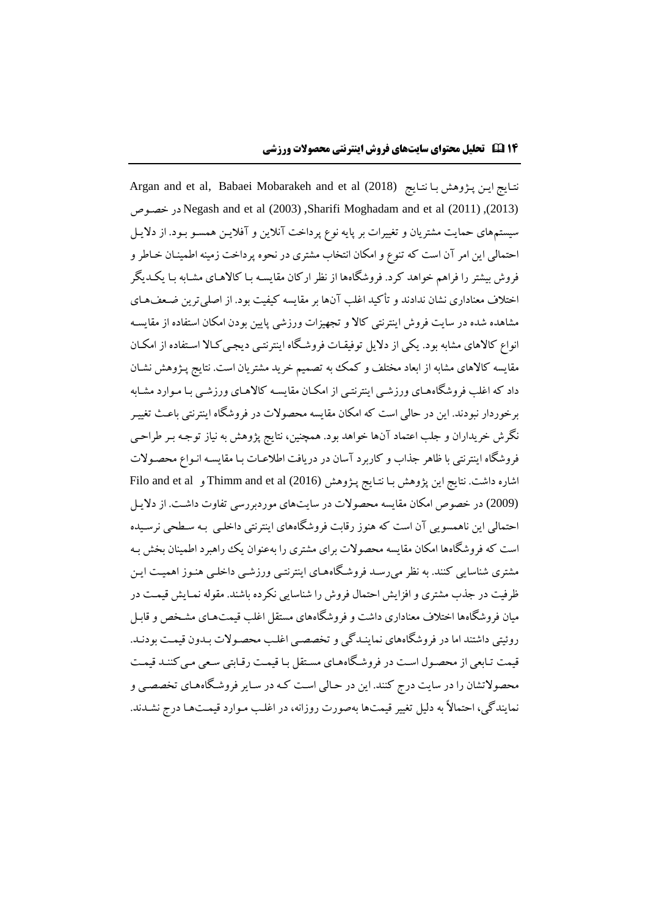Argan and et al, Babaei Mobarakeh and et al (2018) نتایج این پژوهش با نتایج خصهوص در Negash and et al (2003) ,Sharifi Moghadam and et al (2011) ,(2013) سیستمهای حمایت مشتریان و تغییرات بر پایه نوع پرداخت آنالین و آفالیهن همسهو بهود. از دالیهل احتمالی این امر آن است که تنوع و امکان انتخاب مشتری در نحوه پرداخت زمینه اطمینهان خهاطر و فروش بیشتر را فراهم خواهد کرد. فروشگاهها از نظر ارکان مقایسه بـا کالاهـای مشـابه بـا یکـدیگر اختلاف معناداری نشان ندادند و تأکید اغلب آنها بر مقایسه کیفیت بود. از اصلی ترین ضـعفهـای مشاهده شده در سایت فروش اینترنتی کاال و تجهیزات ورزشی پایین بودن امکان استفاده از مقایسهه انواع کالاهای مشابه بود. یکی از دلایل توفیقـات فروشگاه اینترنتـی دیجـی کـالا اسـتفاده از امکـان مقایسه کالاهای مشابه از ابعاد مختلف و کمک به تصمیم خرید مشتریان است. نتایج پـژوهش نشـان داد که اغلب فروشگاههای ورزشبی اینترنتبی از امکـان مقایسـه کالاهـای ورزشـبی بـا مـوارد مشـابه برخوردار نبودند. این در حالی است که امکان مقایسه محصولات در فروشگاه اینترنتی باعث تغییـر نگرش خریداران و جلب اعتماد آنها خواهد بود. همچنین، نتایج پژوهش به نیاز توجهه بهر طراحهی فروشگاه اینترنتی با ظاهر جذاب و کاربرد آسان در دریافت اطلاعـات بـا مقایسـه انـواع محصـولات اشاره داشت. نتایج این پژوهش بـا نتـایج پـژوهش (2016) Thimm and et al و Filo and et al (2009) در خصوص امکان مقایسه محصوالت در سایتهای موردبررسی تفاوت داشهت. از دالیهل احتمالی این ناهمسویی آن است که هنوز رقابت فروشگاههای اینترنتی داخلهی بهه سهطحی نرسهیده است که فروشگاهها امکان مقایسه محصولات برای مشتری را بهعنوان یک راهبرد اطمینان بخش بـه مشتری شناسایی کنند. به نظر میرسهد فروشهگاهههای اینترنتهی ورزشهی داخلهی هنهوز اهمیهت ایهن ظرفیت در جذب مشتری و افزایش احتمال فروش را شناسایی نکرده باشند. مقوله نمهایش قیمهت در میان فروشگاهها اختلاف معناداری داشت و فروشگاههای مستقل اغلب قیمتهمای مشـخص و قابـل روئیتی داشتند اما در فروشگاههای نماینهدگی و تخصصهی اغلهب محصهوالت بهدون قیمهت بودنهد. قیمت تـابعی از محصـول اسـت در فروشـگاههـای مسـتقل بـا قیمـت رقـابتی سـعی مـی کننـد قیمـت محصولاتشان را در سایت درج کنند. این در حالی است کـه در سـایر فروشگاههـای تخصصـی و نمایندگی، احتماالً به دلیل تغییر قیمتها بهصورت روزانه، در اغلهب مهوارد قیمهتهها درج نشهدند.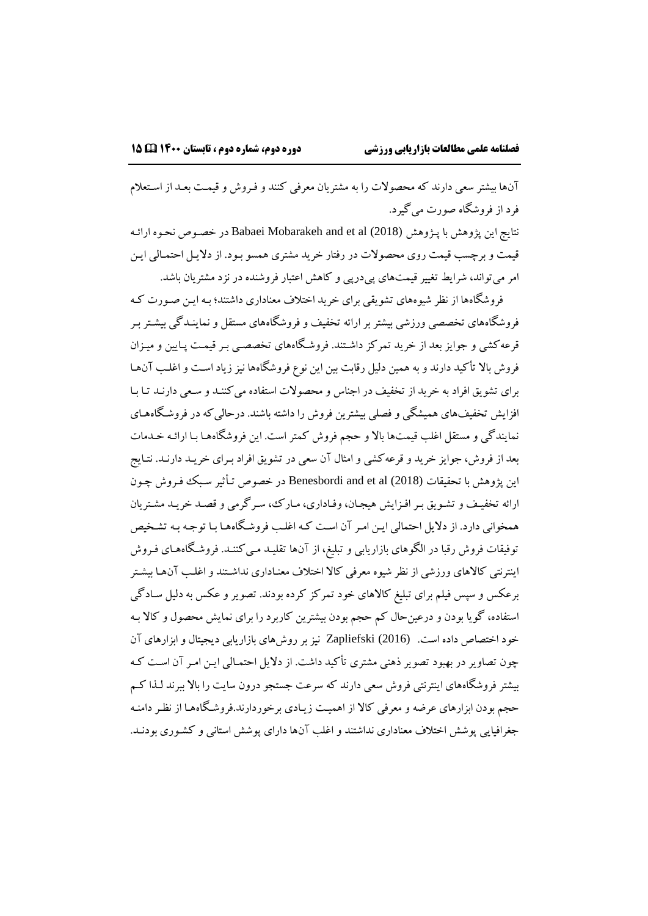آنها بیشتر سعی دارند که محصوالت را به مشتریان معرفی کنند و فهروش و قیمهت بعهد از اسهتعالم فرد از فروشگاه صورت میگیرد.

نتایج این پژوهش با پهژوهش (2018) al et and Mobarakeh Babaei در خصهوص نحهوه ارائهه قیمت و برچسب قیمت روی محصوالت در رفتار خرید مشتری همسو بهود. از دالیهل احتمهالی ایهن امر میتواند، شرایط تغییر قیمتهای پیدرپی و کاهش اعتبار فروشنده در نزد مشتریان باشد.

فروشگاهها از نظر شیوههای تشویقی برای خرید اختالف معناداری داشتند؛ بهه ایهن صهورت کهه فروشگاههای تخصصی ورزشی بیشتر بر ارائه تخفیف و فروشگاههای مستقل و نماینـدگی بیشـتر بـر قرعهکشی و جوایز بعد از خرید تمرکز داشهتند. فروشهگاههای تخصصهی بهر قیمهت پهایین و میهزان فروش باال تأکید دارند و به همین دلیل رقابت بین این نوع فروشگاهها نیز زیاد اسهت و اغلهب آنهها برای تشویق افراد به خرید از تخفیف در اجناس و محصولات استفاده می کننـد و سـعی دارنـد تـا بـا افزایش تخفیفهای همیشگی و فصلی بیشترین فروش را داشته باشند. درحالی که در فروشگاههـای نمایندگی و مستقل اغلب قیمتها باال و حجم فروش کمتر است. این فروشگاههها بها ارائهه خهدمات بعد از فروش، جوایز خرید و قرعهکشی و امثال آن سعی در تشویق افراد بهرای خریهد دارنهد. نتهایج این پژوهش با تحقیقات (2018) al et and Benesbordi در خصوص تهأثیر سهبک فهروش چهون ارائه تخفیف و تشویق بر افـزایش هیجـان، وفـاداری، مـارک، سـرگرمی و قصـد خریـد مشـتریان همخوانی دارد. از دلایل احتمالی ایـن امـر آن اسـت کـه اغلـب فروشـگاههـا بـا توجـه بـه تشـخیص توفیقات فروش رقبا در الگوهای بازاریابی و تبلیغ، از آنها تقلیهد مهیکننهد. فروشهگاهههای فهروش اینترنتی کالاهای ورزشی از نظر شیوه معرفی کالا اختلاف معنـاداری نداشـتند و اغلـب آنهـا بیشـتر برعکس و سپس فیلم برای تبلیغ کالاهای خود تمرکز کرده بودند. تصویر و عکس به دلیل سـادگی استفاده، گویا بودن و درعینحال کم حجم بودن بیشترین کاربرد را برای نمایش محصول و کاال بهه خود اختصاص داده است. (2016) Zapliefski نیز برروشهای بازاریابی دیجیتال وابزارهای آن چون تصاویر در بهبود تصویر ذهنی مشتری تأکید داشت. از دالیل احتمهالی ایهن امهر آن اسهت کهه بیشتر فروشگاههای اینترنتی فروش سعی دارند که سرعت جستجو درون سایت را باال ببرند لهذا کهم حجم بودن ابزارهای عرضه و معرفی کالا از اهمیت زیـادی برخوردارند.فروشگاههـا از نظـر دامنـه جغرافیایی پوشش اختالف معناداری نداشتند و اغلب آنها دارای پوشش استانی و کشهوری بودنهد.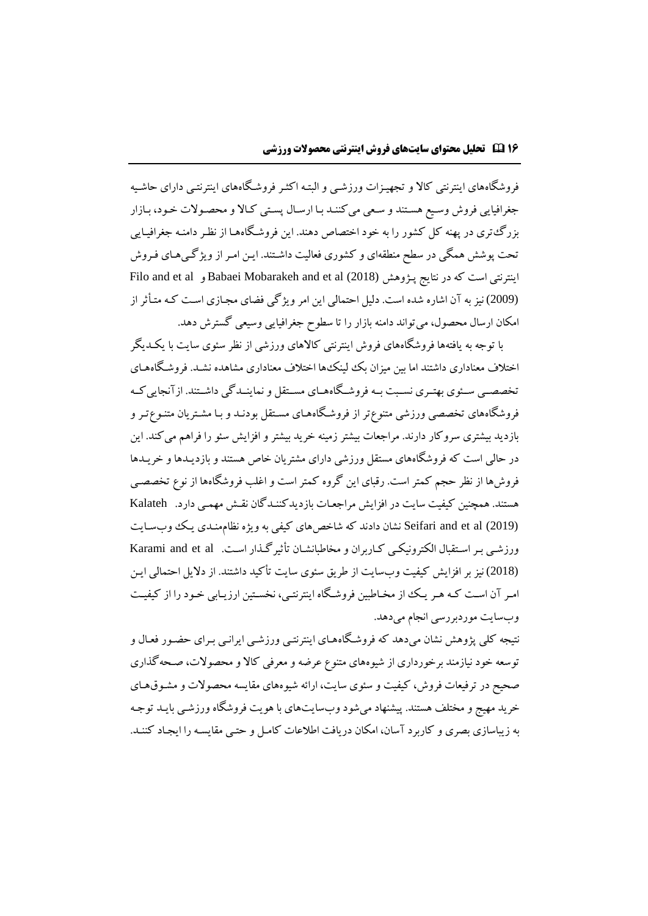فروشگاههای اینترنتی کاال و تجهیهزات ورزشهی و البتهه اکثهر فروشهگاههای اینترنتهی دارای حاشهیه جغرافیایی فروش وسیع هستند و سعی میکننـد بـا ارسـال پسـتی کـالا و محصـولات خـود، بـازار بزرگتری در پهنه کل کشور را به خود اختصاص دهند. این فروشهگاههها از نظهر دامنهه جغرافیهایی تحت پوشش همگی در سطح منطقهای و کشوری فعالیت داشهتند. ایهن امهر از ویژگهیههای فهروش Filo and et al و Babaei Mobarakeh and et al (2018) پهژوهش نتایج در که است اینترنتی (2009) نیز به آن اشاره شده است. دلیل احتمالی این امر ویژگی فیای مجهازی اسهت کهه متهأثر از امکان ارسال محصول، میتواند دامنه بازار را تا سطوح جغرافیایی وسیعی گسترش دهد.

با توجه به یافتهها فروشگاههای فروش اینترنتی کاالهای ورزشی از نظر سئوی سایت با یکهدیگر اختالف معناداری داشتند اما بین میزان بک لینکها اختالف معناداری مشاهده نشهد. فروشهگاهههای تخصصه بی سه ی بهتهری نسبت به فروشگاهههای مستقل و نماینهدگی داشهتند. از آنجایی کبه فروشگاههای تخصصی ورزشی متنوع تر از فروشگاههـای مسـتقل بودنـد و بـا مشـتریان متنـوع تـر و بازدید بیشتری سروکار دارند. مراجعات بیشتر زمینه خرید بیشتر و افزایش سئو را فراهم میکند. این در حالی است که فروشگاههای مستقل ورزشی دارای مشتریان خاص هستند و بازدیهدها و خریهدها فروشها از نظر حجم کمتر است. رقبای این گروه کمتر است و اغلب فروشگاهها از نوع تخصصهی هستند. همچنین کیفیت سایت در افزایش مراجعهات بازدیدکننهدگان نقهش مهمهی دارد. Kalateh (2019) al et and Seifari نشان دادند که شاخصهای کیفی بهویژه نظاممنهدی یهک وبسهایت ورزشبی بهر استقبال الکترونیکهی کباربران و مخاطبانشـان تأثیر گـذار اسـت. Karami and et al (2018) نیز بر افزایش کیفیت وبسایت از طریق سئوی سایت تأکید داشتند. از دالیل احتمالی ایهن امبر آن است کـه هـر یـک از مخـاطبین فروشـگاه اینترنتـی، نخسـتین ارزیـابی خـود را از کیفیـت وبسایت موردبررسی انجام میدهد.

نتیجه کلی پژوهش نشان می دهد که فروشگاههای اینترنتبی ورزشبی ایرانسی بـرای حضـور فعـال و توسعه خود نیازمند برخورداری از شیوههای متنوع عرضه و معرفی کاال و محصوالت، صهحهگذاری صحیح در ترفیعات فروش، کیفیت و سئوی سایت، ارائه شیوههای مقایسه محصوالت و مشهو ههای خرید مهیج و مختلف هستند. پیشنهاد میشود وبسایتهای با هویت فروشگاه ورزشـی بایـد توجـه به زیباسازی بصری و کاربرد آسان، امکان دریافت اطالعات کامهل و حتهی مقایسهه را ایجهاد کننهد.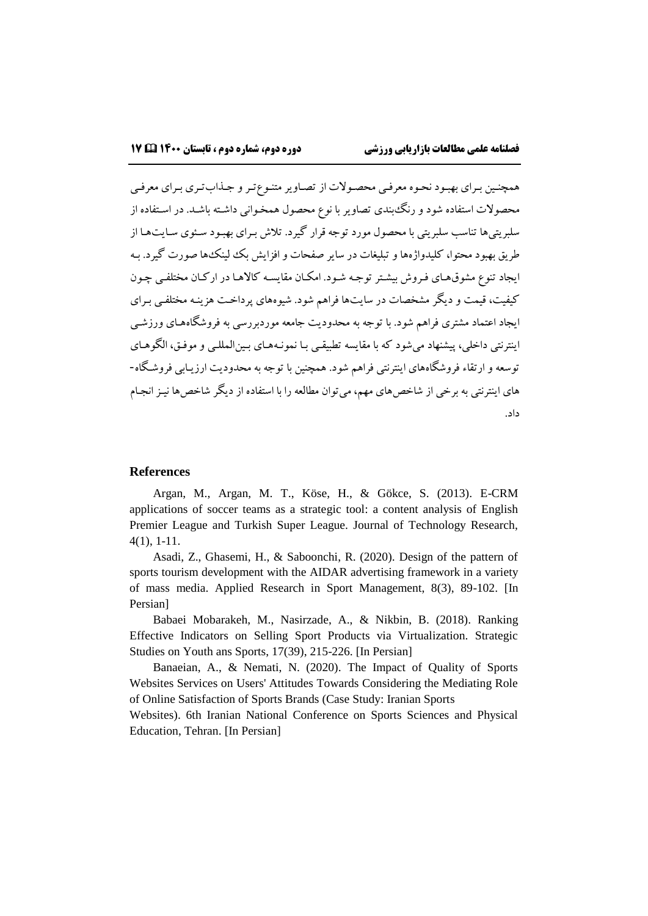همچنهین بهرای بهبهود نحهوه معرفهی محصهوالت از تصهاویرمتنهوعتهرو جهذابتهری بهرای معرفهی محصوالت استفاده شود و رنگبندی تصاویر با نوع محصول همخهوانی داشهته باشهد. در اسهتفاده از سلبریتیها تناسب سلبریتی با محصول مورد توجه قرار گیرد. تالش بهرای بهبهود سهئوی سهایتهها از طریق بهبود محتوا، کلیدواژهها و تبلیغات در سایر صفحات وافزایش بک لینکها صورت گیرد. بهه ایجاد تنوع مشوق هـای فـروش بیشـتر توجـه شـود. امکـان مقایسـه کالاهـا در ارکـان مختلفـی چـون کیفیت، قیمت و دیگر مشخصات در سایتها فراهم شود. شیوههای پرداخهت هزینهه مختلفهی بهرای ایجاد اعتماد مشتری فراهم شود. با توجه به محدودیت جامعه موردبررسی به فروشگاهههای ورزشهی اینترنتی داخلی، پیشنهاد میشود که با مقایسه تطبیقـی بـا نمونـههـای بـین|لمللــی و موفـق، الگوهـای توسعه و ارتقاء فروشگاههای اینترنتی فراهم شود. همچنین با توجه به محدودیت ارزیهابی فروشهگاه- های اینترنتی به برخی از شاخصهای مهم، میتوان مطالعه را با استفاده از دیگر شاخصها نیهز انجهام داد.

#### **References**

Argan, M., Argan, M. T., Köse, H., & Gökce, S. (2013). E-CRM applications of soccer teams as a strategic tool: a content analysis of English Premier League and Turkish Super League. Journal of Technology Research, 4(1), 1-11.

Asadi, Z., Ghasemi, H., & Saboonchi, R. (2020). Design of the pattern of sports tourism development with the AIDAR advertising framework in a variety of mass media. Applied Research in Sport Management, 8(3), 89-102. [In Persian]

Babaei Mobarakeh, M., Nasirzade, A., & Nikbin, B. (2018). Ranking Effective Indicators on Selling Sport Products via Virtualization. Strategic Studies on Youth ans Sports, 17(39), 215-226. [In Persian]

Banaeian, A., & Nemati, N. (2020). The Impact of Quality of Sports Websites Services on Users' Attitudes Towards Considering the Mediating Role of Online Satisfaction of Sports Brands (Case Study: Iranian Sports

Websites). 6th Iranian National Conference on Sports Sciences and Physical Education, Tehran. [In Persian]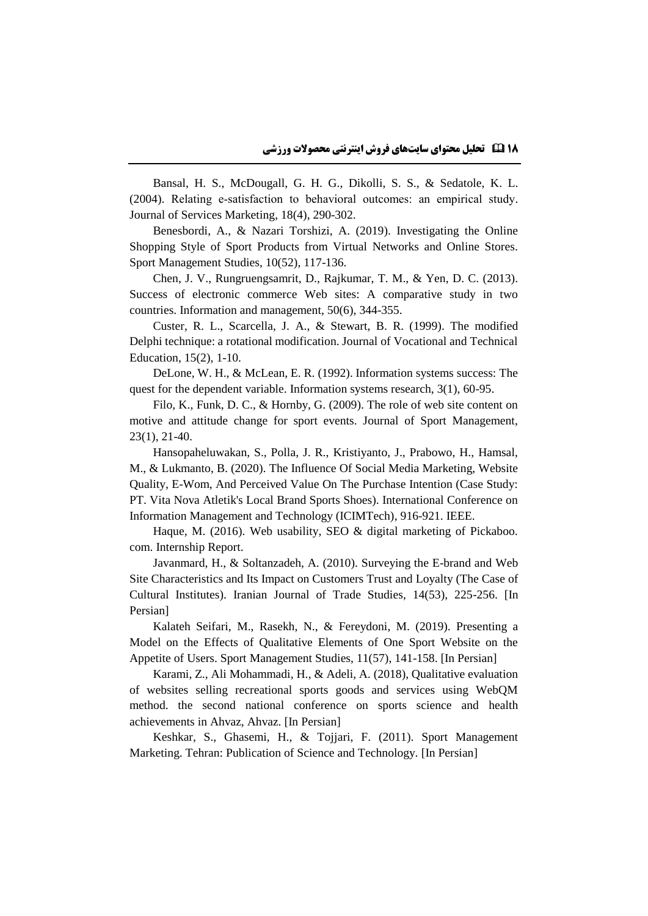Bansal, H. S., McDougall, G. H. G., Dikolli, S. S., & Sedatole, K. L. (2004). Relating e‐satisfaction to behavioral outcomes: an empirical study. Journal of Services Marketing, 18(4), 290-302.

Benesbordi, A., & Nazari Torshizi, A. (2019). Investigating the Online Shopping Style of Sport Products from Virtual Networks and Online Stores. Sport Management Studies, 10(52), 117-136.

Chen, J. V., Rungruengsamrit, D., Rajkumar, T. M., & Yen, D. C. (2013). Success of electronic commerce Web sites: A comparative study in two countries. Information and management, 50(6), 344-355.

Custer, R. L., Scarcella, J. A., & Stewart, B. R. (1999). The modified Delphi technique: a rotational modification. Journal of Vocational and Technical Education, 15(2), 1-10.

DeLone, W. H., & McLean, E. R. (1992). Information systems success: The quest for the dependent variable. Information systems research, 3(1), 60-95.

Filo, K., Funk, D. C., & Hornby, G. (2009). The role of web site content on motive and attitude change for sport events. Journal of Sport Management, 23(1), 21-40.

Hansopaheluwakan, S., Polla, J. R., Kristiyanto, J., Prabowo, H., Hamsal, M., & Lukmanto, B. (2020). The Influence Of Social Media Marketing, Website Quality, E-Wom, And Perceived Value On The Purchase Intention (Case Study: PT. Vita Nova Atletik's Local Brand Sports Shoes). International Conference on Information Management and Technology (ICIMTech), 916-921. IEEE.

Haque, M. (2016). Web usability, SEO & digital marketing of Pickaboo. com. Internship Report.

Javanmard, H., & Soltanzadeh, A. (2010). Surveying the E-brand and Web Site Characteristics and Its Impact on Customers Trust and Loyalty (The Case of Cultural Institutes). Iranian Journal of Trade Studies, 14(53), 225-256. [In Persian]

Kalateh Seifari, M., Rasekh, N., & Fereydoni, M. (2019). Presenting a Model on the Effects of Qualitative Elements of One Sport Website on the Appetite of Users. Sport Management Studies, 11(57), 141-158. [In Persian]

Karami, Z., Ali Mohammadi, H., & Adeli, A. (2018), Qualitative evaluation of websites selling recreational sports goods and services using WebQM method. the second national conference on sports science and health achievements in Ahvaz, Ahvaz. [In Persian]

Keshkar, S., Ghasemi, H., & Tojjari, F. (2011). Sport Management Marketing. Tehran: Publication of Science and Technology. [In Persian]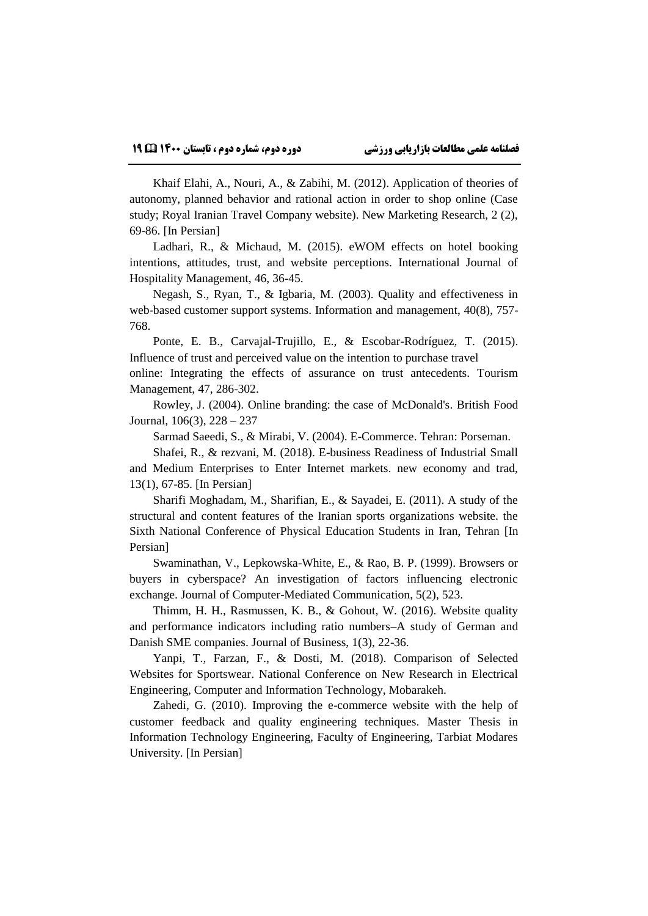Khaif Elahi, A., Nouri, A., & Zabihi, M. (2012). Application of theories of autonomy, planned behavior and rational action in order to shop online (Case study; Royal Iranian Travel Company website). New Marketing Research, 2 (2), 69-86. [In Persian]

Ladhari, R., & Michaud, M. (2015). eWOM effects on hotel booking intentions, attitudes, trust, and website perceptions. International Journal of Hospitality Management, 46, 36-45.

Negash, S., Ryan, T., & Igbaria, M. (2003). Quality and effectiveness in web-based customer support systems. Information and management, 40(8), 757- 768.

Ponte, E. B., Carvajal-Trujillo, E., & Escobar-Rodríguez, T. (2015). Influence of trust and perceived value on the intention to purchase travel

online: Integrating the effects of assurance on trust antecedents. Tourism Management, 47, 286-302.

Rowley, J. (2004). Online branding: the case of McDonald's. British Food Journal, 106(3), 228 – 237

Sarmad Saeedi, S., & Mirabi, V. (2004). E-Commerce. Tehran: Porseman.

Shafei, R., & rezvani, M. (2018). E-business Readiness of Industrial Small and Medium Enterprises to Enter Internet markets. new economy and trad, 13(1), 67-85. [In Persian]

Sharifi Moghadam, M., Sharifian, E., & Sayadei, E. (2011). A study of the structural and content features of the Iranian sports organizations website. the Sixth National Conference of Physical Education Students in Iran, Tehran [In Persian]

Swaminathan, V., Lepkowska-White, E., & Rao, B. P. (1999). Browsers or buyers in cyberspace? An investigation of factors influencing electronic exchange. Journal of Computer-Mediated Communication, 5(2), 523.

Thimm, H. H., Rasmussen, K. B., & Gohout, W. (2016). Website quality and performance indicators including ratio numbers–A study of German and Danish SME companies. Journal of Business, 1(3), 22-36.

Yanpi, T., Farzan, F., & Dosti, M. (2018). Comparison of Selected Websites for Sportswear. National Conference on New Research in Electrical Engineering, Computer and Information Technology, Mobarakeh.

Zahedi, G. (2010). Improving the e-commerce website with the help of customer feedback and quality engineering techniques. Master Thesis in Information Technology Engineering, Faculty of Engineering, Tarbiat Modares University. [In Persian]